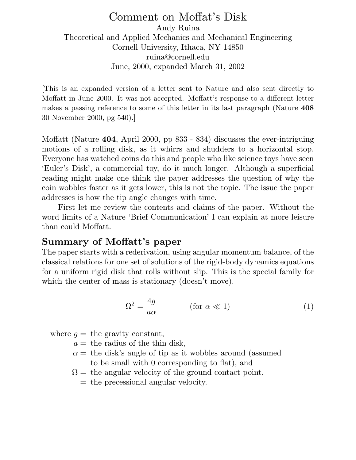# Comment on Moffat's Disk Andy Ruina Theoretical and Applied Mechanics and Mechanical Engineering Cornell University, Ithaca, NY 14850 ruina@cornell.edu June, 2000, expanded March 31, 2002

[This is an expanded version of a letter sent to Nature and also sent directly to Moffatt in June 2000. It was not accepted. Moffatt's response to a different letter makes a passing reference to some of this letter in its last paragraph (Nature **408** 30 November 2000, pg 540).]

Moffatt (Nature **404**, April 2000, pp 833 - 834) discusses the ever-intriguing motions of a rolling disk, as it whirrs and shudders to a horizontal stop. Everyone has watched coins do this and people who like science toys have seen 'Euler's Disk', a commercial toy, do it much longer. Although a superficial reading might make one think the paper addresses the question of why the coin wobbles faster as it gets lower, this is not the topic. The issue the paper addresses is how the tip angle changes with time.

First let me review the contents and claims of the paper. Without the word limits of a Nature 'Brief Communication' I can explain at more leisure than could Moffatt.

# **Summary of Moffatt's paper**

The paper starts with a rederivation, using angular momentum balance, of the classical relations for one set of solutions of the rigid-body dynamics equations for a uniform rigid disk that rolls without slip. This is the special family for which the center of mass is stationary (doesn't move).

$$
\Omega^2 = \frac{4g}{a\alpha} \qquad (\text{for } \alpha \ll 1)
$$
 (1)

where  $q =$  the gravity constant,

 $a =$  the radius of the thin disk,

- $\alpha$  = the disk's angle of tip as it wobbles around (assumed to be small with 0 corresponding to flat), and
- $\Omega =$  the angular velocity of the ground contact point,
	- = the precessional angular velocity.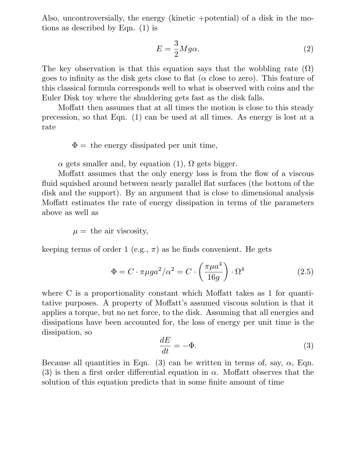Also, uncontroversially, the energy (kinetic +potential) of a disk in the motions as described by Eqn. (1) is

$$
E = \frac{3}{2}Mg\alpha.
$$
 (2)

The key observation is that this equation says that the wobbling rate  $(Ω)$ goes to infinity as the disk gets close to flat ( $\alpha$  close to zero). This feature of this classical formula corresponds well to what is observed with coins and the Euler Disk toy where the shuddering gets fast as the disk falls.

Moffatt then assumes that at all times the motion is close to this steady precession, so that Eqn. (1) can be used at all times. As energy is lost at a rate

 $\Phi =$  the energy dissipated per unit time,

 $\alpha$  gets smaller and, by equation (1),  $\Omega$  gets bigger.

Moffatt assumes that the only energy loss is from the flow of a viscous fluid squished around between nearly parallel flat surfaces (the bottom of the disk and the support). By an argument that is close to dimensional analysis Moffatt estimates the rate of energy dissipation in terms of the parameters above as well as

 $\mu =$  the air viscosity,

keeping terms of order 1 (e.g.,  $\pi$ ) as he finds convenient. He gets

$$
\Phi = C \cdot \pi \mu g a^2 / \alpha^2 = C \cdot \left(\frac{\pi \mu a^4}{16g}\right) \cdot \Omega^4 \tag{2.5}
$$

where C is a proportionality constant which Moffatt takes as 1 for quantitative purposes. A property of Moffatt's assumed viscous solution is that it applies a torque, but no net force, to the disk. Assuming that all energies and dissipations have been accounted for, the loss of energy per unit time is the dissipation, so

$$
\frac{dE}{dt} = -\Phi.
$$
\n(3)

Because all quantities in Eqn. (3) can be written in terms of, say,  $\alpha$ , Eqn. (3) is then a first order differential equation in  $\alpha$ . Moffatt observes that the solution of this equation predicts that in some finite amount of time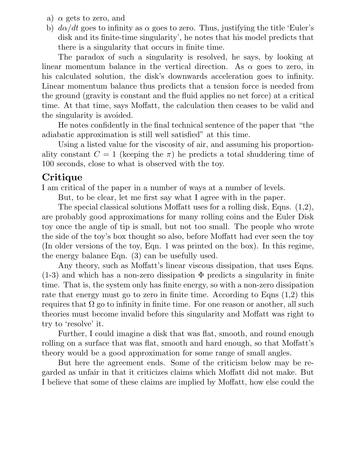- a)  $\alpha$  gets to zero, and
- b)  $d\alpha/dt$  goes to infinity as  $\alpha$  goes to zero. Thus, justifying the title 'Euler's disk and its finite-time singularity', he notes that his model predicts that there is a singularity that occurs in finite time.

The paradox of such a singularity is resolved, he says, by looking at linear momentum balance in the vertical direction. As  $\alpha$  goes to zero, in his calculated solution, the disk's downwards acceleration goes to infinity. Linear momentum balance thus predicts that a tension force is needed from the ground (gravity is constant and the fluid applies no net force) at a critical time. At that time, says Moffatt, the calculation then ceases to be valid and the singularity is avoided.

He notes confidently in the final technical sentence of the paper that "the adiabatic approximation is still well satisfied" at this time.

Using a listed value for the viscosity of air, and assuming his proportionality constant  $C = 1$  (keeping the  $\pi$ ) he predicts a total shuddering time of 100 seconds, close to what is observed with the toy.

# **Critique**

Iam critical of the paper in a number of ways at a number of levels.

But, to be clear, let me first say what I agree with in the paper.

The special classical solutions Moffatt uses for a rolling disk, Eqns. (1,2), are probably good approximations for many rolling coins and the Euler Disk toy once the angle of tip is small, but not too small. The people who wrote the side of the toy's box thought so also, before Moffatt had ever seen the toy (In older versions of the toy, Eqn. 1 was printed on the box). In this regime, the energy balance Eqn. (3) can be usefully used.

Any theory, such as Moffatt's linear viscous dissipation, that uses Eqns.  $(1-3)$  and which has a non-zero dissipation  $\Phi$  predicts a singularity in finite time. That is, the system only has finite energy, so with a non-zero dissipation rate that energy must go to zero in finite time. According to Eqns  $(1,2)$  this requires that  $\Omega$  go to infinity in finite time. For one reason or another, all such theories must become invalid before this singularity and Moffatt was right to try to 'resolve' it.

Further, I could imagine a disk that was flat, smooth, and round enough rolling on a surface that was flat, smooth and hard enough, so that Moffatt's theory would be a good approximation for some range of small angles.

But here the agreement ends. Some of the criticism below may be regarded as unfair in that it criticizes claims which Moffatt did not make. But Ibelieve that some of these claims are implied by Moffatt, how else could the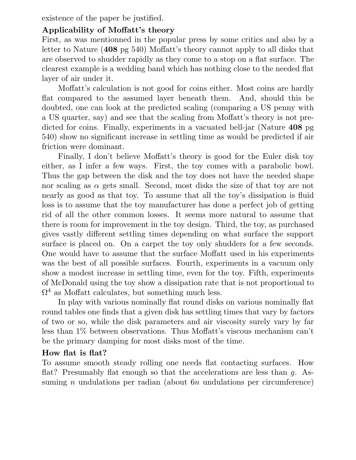existence of the paper be justified.

# **Applicability of Moffatt's theory**

First, as was mentionned in the popular press by some critics and also by a letter to Nature (**408** pg 540) Moffatt's theory cannot apply to all disks that are observed to shudder rapidly as they come to a stop on a flat surface. The clearest example is a wedding band which has nothing close to the needed flat layer of air under it.

Moffatt's calculation is not good for coins either. Most coins are hardly flat compared to the assumed layer beneath them. And, should this be doubted, one can look at the predicted scaling (comparing a US penny with a US quarter, say) and see that the scaling from Moffatt's theory is not predicted for coins. Finally, experiments in a vacuated bell-jar (Nature **408** pg 540) show no significant increase in settling time as would be predicted if air friction were dominant.

Finally, I don't believe Moffatt's theory is good for the Euler disk toy either, as I infer a few ways. First, the toy comes with a parabolic bowl. Thus the gap between the disk and the toy does not have the needed shape nor scaling as  $\alpha$  gets small. Second, most disks the size of that toy are not nearly as good as that toy. To assume that all the toy's dissipation is fluid loss is to assume that the toy manufacturer has done a perfect job of getting rid of all the other common losses. It seems more natural to assume that there is room for improvement in the toy design. Third, the toy, as purchased gives vastly different settling times depending on what surface the support surface is placed on. On a carpet the toy only shudders for a few seconds. One would have to assume that the surface Moffatt used in his experiments was the best of all possible surfaces. Fourth, experiments in a vacuum only show a modest increase in settling time, even for the toy. Fifth, experiments of McDonald using the toy show a dissipation rate that is not proportional to  $\Omega^4$  as Moffatt calculates, but something much less.

In play with various nominally flat round disks on various nominally flat round tables one finds that a given disk has settling times that vary by factors of two or so, while the disk parameters and air viscosity surely vary by far less than 1% between observations. Thus Moffatt's viscous mechanism can't be the primary damping for most disks most of the time.

### **How flat is flat?**

To assume smooth steady rolling one needs flat contacting surfaces. How flat? Presumably flat enough so that the accelerations are less than q. Assuming *n* undulations per radian (about  $6n$  undulations per circumference)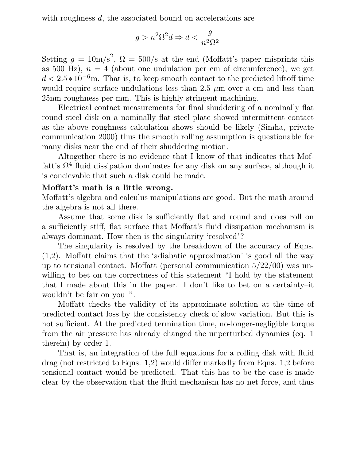with roughness d, the associated bound on accelerations are

$$
g > n^2 \Omega^2 d \Rightarrow d < \frac{g}{n^2 \Omega^2}
$$

Setting  $g = 10 \text{m/s}^2$ ,  $\Omega = 500/\text{s}$  at the end (Moffatt's paper misprints this as 500 Hz),  $n = 4$  (about one undulation per cm of circumference), we get  $d < 2.5 * 10^{-6}$ m. That is, to keep smooth contact to the predicted liftoff time would require surface undulations less than 2.5  $\mu$ m over a cm and less than 25nm roughness per mm. This is highly stringent machining.

Electrical contact measurements for final shuddering of a nominally flat round steel disk on a nominally flat steel plate showed intermittent contact as the above roughness calculation shows should be likely (Simha, private communication 2000) thus the smooth rolling assumption is questionable for many disks near the end of their shuddering motion.

Altogether there is no evidence that Iknow of that indicates that Moffatt's  $\Omega^4$  fluid dissipation dominates for any disk on any surface, although it is concievable that such a disk could be made.

### **Moffatt's math is a little wrong.**

Moffatt's algebra and calculus manipulations are good. But the math around the algebra is not all there.

Assume that some disk is sufficiently flat and round and does roll on a sufficiently stiff, flat surface that Moffatt's fluid dissipation mechanism is always dominant. How then is the singularity 'resolved'?

The singularity is resolved by the breakdown of the accuracy of Eqns. (1,2). Moffatt claims that the 'adiabatic approximation' is good all the way up to tensional contact. Moffatt (personal communication 5/22/00) was unwilling to bet on the correctness of this statement "I hold by the statement" that I made about this in the paper. I don't like to bet on a certainty-it wouldn't be fair on you–".

Moffatt checks the validity of its approximate solution at the time of predicted contact loss by the consistency check of slow variation. But this is not sufficient. At the predicted termination time, no-longer-negligible torque from the air pressure has already changed the unperturbed dynamics (eq. 1 therein) by order 1.

That is, an integration of the full equations for a rolling disk with fluid drag (not restricted to Eqns. 1,2) would differ markedly from Eqns. 1,2 before tensional contact would be predicted. That this has to be the case is made clear by the observation that the fluid mechanism has no net force, and thus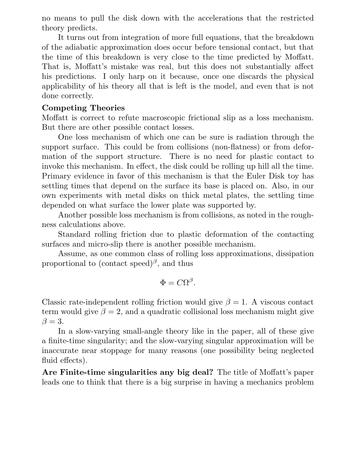no means to pull the disk down with the accelerations that the restricted theory predicts.

It turns out from integration of more full equations, that the breakdown of the adiabatic approximation does occur before tensional contact, but that the time of this breakdown is very close to the time predicted by Moffatt. That is, Moffatt's mistake was real, but this does not substantially affect his predictions. I only harp on it because, once one discards the physical applicability of his theory all that is left is the model, and even that is not done correctly.

### **Competing Theories**

Moffatt is correct to refute macroscopic frictional slip as a loss mechanism. But there are other possible contact losses.

One loss mechanism of which one can be sure is radiation through the support surface. This could be from collisions (non-flatness) or from deformation of the support structure. There is no need for plastic contact to invoke this mechanism. In effect, the disk could be rolling up hill all the time. Primary evidence in favor of this mechanism is that the Euler Disk toy has settling times that depend on the surface its base is placed on. Also, in our own experiments with metal disks on thick metal plates, the settling time depended on what surface the lower plate was supported by.

Another possible loss mechanism is from collisions, as noted in the roughness calculations above.

Standard rolling friction due to plastic deformation of the contacting surfaces and micro-slip there is another possible mechanism.

Assume, as one common class of rolling loss approximations, dissipation proportional to (contact speed)<sup>β</sup>, and thus

$$
\Phi=C\Omega^{\beta}.
$$

Classic rate-independent rolling friction would give  $\beta = 1$ . A viscous contact term would give  $\beta = 2$ , and a quadratic collisional loss mechanism might give  $\beta = 3$ .

In a slow-varying small-angle theory like in the paper, all of these give a finite-time singularity; and the slow-varying singular approximation will be inaccurate near stoppage for many reasons (one possibility being neglected fluid effects).

**Are Finite-time singularities any big deal?** The title of Moffatt's paper leads one to think that there is a big surprise in having a mechanics problem